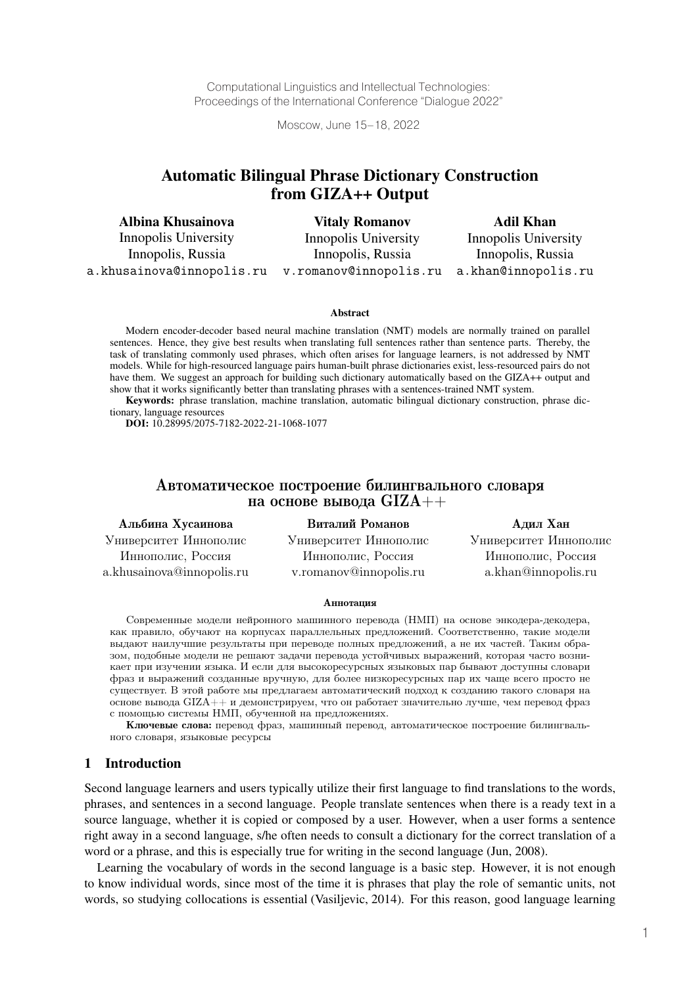Computational Linguistics and Intellectual Technologies: Proceedings of the International Conference "Dialogue 2022"

Moscow, June 15–18, 2022

# Automatic Bilingual Phrase Dictionary Construction from GIZA++ Output

Albina Khusainova Innopolis University Innopolis, Russia a.khusainova@innopolis.ru

Vitaly Romanov Innopolis University Innopolis, Russia v.romanov@innopolis.ru

Adil Khan Innopolis University Innopolis, Russia a.khan@innopolis.ru

#### Abstract

Modern encoder-decoder based neural machine translation (NMT) models are normally trained on parallel sentences. Hence, they give best results when translating full sentences rather than sentence parts. Thereby, the task of translating commonly used phrases, which often arises for language learners, is not addressed by NMT models. While for high-resourced language pairs human-built phrase dictionaries exist, less-resourced pairs do not have them. We suggest an approach for building such dictionary automatically based on the GIZA++ output and show that it works significantly better than translating phrases with a sentences-trained NMT system.

Keywords: phrase translation, machine translation, automatic bilingual dictionary construction, phrase dictionary, language resources

DOI: 10.28995/2075-7182-2022-21-1068-1077

## Автоматическое построение билингвального словаря на основе вывода GIZA++

Альбина Хусаинова Виталий Романов Адил Хан Университет Иннополис Университет Иннополис Университет Иннополис Иннополис, Россия Иннополис, Россия Иннополис, Россия a.khusainova@innopolis.ru v.romanov@innopolis.ru a.khan@innopolis.ru

#### Аннотация

Современные модели нейронного машинного перевода (НМП) на основе энкодера-декодера, как правило, обучают на корпусах параллельных предложений. Соответственно, такие модели выдают наилучшие результаты при переводе полных предложений, а не их частей. Таким образом, подобные модели не решают задачи перевода устойчивых выражений, которая часто возникает при изучении языка. И если для высокоресурсных языковых пар бывают доступны словари фраз и выражений созданные вручную, для более низкоресурсных пар их чаще всего просто не существует. В этой работе мы предлагаем автоматический подход к созданию такого словаря на основе вывода GIZA++ и демонстрируем, что он работает значительно лучше, чем перевод фраз с помощью системы НМП, обученной на предложениях.

Ключевые слова: перевод фраз, машинный перевод, автоматическое построение билингвального словаря, языковые ресурсы

## 1 Introduction

Second language learners and users typically utilize their first language to find translations to the words, phrases, and sentences in a second language. People translate sentences when there is a ready text in a source language, whether it is copied or composed by a user. However, when a user forms a sentence right away in a second language, s/he often needs to consult a dictionary for the correct translation of a word or a phrase, and this is especially true for writing in the second language (Jun, 2008).

Learning the vocabulary of words in the second language is a basic step. However, it is not enough to know individual words, since most of the time it is phrases that play the role of semantic units, not words, so studying collocations is essential (Vasiljevic, 2014). For this reason, good language learning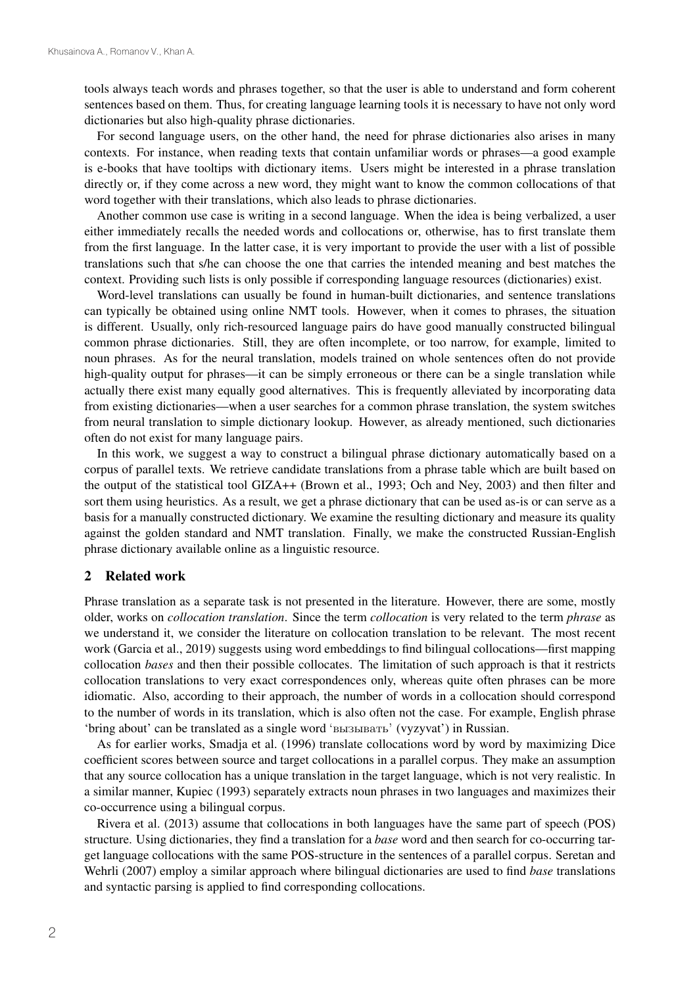tools always teach words and phrases together, so that the user is able to understand and form coherent sentences based on them. Thus, for creating language learning tools it is necessary to have not only word dictionaries but also high-quality phrase dictionaries.

For second language users, on the other hand, the need for phrase dictionaries also arises in many contexts. For instance, when reading texts that contain unfamiliar words or phrases—a good example is e-books that have tooltips with dictionary items. Users might be interested in a phrase translation directly or, if they come across a new word, they might want to know the common collocations of that word together with their translations, which also leads to phrase dictionaries.

Another common use case is writing in a second language. When the idea is being verbalized, a user either immediately recalls the needed words and collocations or, otherwise, has to first translate them from the first language. In the latter case, it is very important to provide the user with a list of possible translations such that s/he can choose the one that carries the intended meaning and best matches the context. Providing such lists is only possible if corresponding language resources (dictionaries) exist.

Word-level translations can usually be found in human-built dictionaries, and sentence translations can typically be obtained using online NMT tools. However, when it comes to phrases, the situation is different. Usually, only rich-resourced language pairs do have good manually constructed bilingual common phrase dictionaries. Still, they are often incomplete, or too narrow, for example, limited to noun phrases. As for the neural translation, models trained on whole sentences often do not provide high-quality output for phrases—it can be simply erroneous or there can be a single translation while actually there exist many equally good alternatives. This is frequently alleviated by incorporating data from existing dictionaries—when a user searches for a common phrase translation, the system switches from neural translation to simple dictionary lookup. However, as already mentioned, such dictionaries often do not exist for many language pairs.

In this work, we suggest a way to construct a bilingual phrase dictionary automatically based on a corpus of parallel texts. We retrieve candidate translations from a phrase table which are built based on the output of the statistical tool GIZA++ (Brown et al., 1993; Och and Ney, 2003) and then filter and sort them using heuristics. As a result, we get a phrase dictionary that can be used as-is or can serve as a basis for a manually constructed dictionary. We examine the resulting dictionary and measure its quality against the golden standard and NMT translation. Finally, we make the constructed Russian-English phrase dictionary available online as a linguistic resource.

## 2 Related work

Phrase translation as a separate task is not presented in the literature. However, there are some, mostly older, works on *collocation translation*. Since the term *collocation* is very related to the term *phrase* as we understand it, we consider the literature on collocation translation to be relevant. The most recent work (Garcia et al., 2019) suggests using word embeddings to find bilingual collocations—first mapping collocation *bases* and then their possible collocates. The limitation of such approach is that it restricts collocation translations to very exact correspondences only, whereas quite often phrases can be more idiomatic. Also, according to their approach, the number of words in a collocation should correspond to the number of words in its translation, which is also often not the case. For example, English phrase 'bring about' can be translated as a single word 'вызывать' (vyzyvat') in Russian.

As for earlier works, Smadja et al. (1996) translate collocations word by word by maximizing Dice coefficient scores between source and target collocations in a parallel corpus. They make an assumption that any source collocation has a unique translation in the target language, which is not very realistic. In a similar manner, Kupiec (1993) separately extracts noun phrases in two languages and maximizes their co-occurrence using a bilingual corpus.

Rivera et al. (2013) assume that collocations in both languages have the same part of speech (POS) structure. Using dictionaries, they find a translation for a *base* word and then search for co-occurring target language collocations with the same POS-structure in the sentences of a parallel corpus. Seretan and Wehrli (2007) employ a similar approach where bilingual dictionaries are used to find *base* translations and syntactic parsing is applied to find corresponding collocations.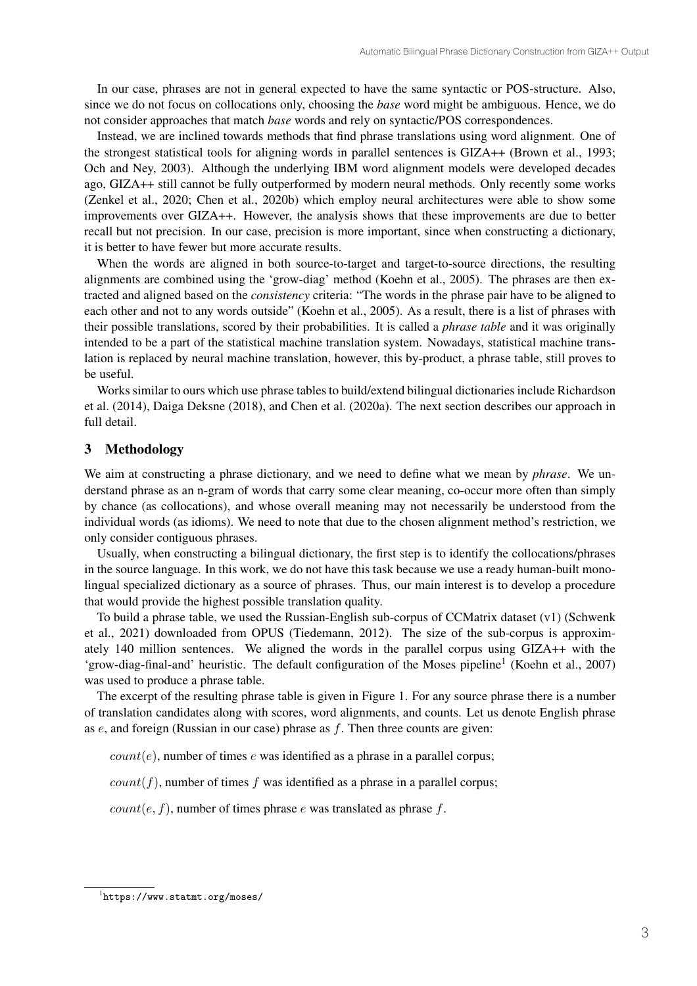In our case, phrases are not in general expected to have the same syntactic or POS-structure. Also, since we do not focus on collocations only, choosing the *base* word might be ambiguous. Hence, we do not consider approaches that match *base* words and rely on syntactic/POS correspondences.

Instead, we are inclined towards methods that find phrase translations using word alignment. One of the strongest statistical tools for aligning words in parallel sentences is GIZA++ (Brown et al., 1993; Och and Ney, 2003). Although the underlying IBM word alignment models were developed decades ago, GIZA++ still cannot be fully outperformed by modern neural methods. Only recently some works (Zenkel et al., 2020; Chen et al., 2020b) which employ neural architectures were able to show some improvements over GIZA++. However, the analysis shows that these improvements are due to better recall but not precision. In our case, precision is more important, since when constructing a dictionary, it is better to have fewer but more accurate results.

When the words are aligned in both source-to-target and target-to-source directions, the resulting alignments are combined using the 'grow-diag' method (Koehn et al., 2005). The phrases are then extracted and aligned based on the *consistency* criteria: "The words in the phrase pair have to be aligned to each other and not to any words outside" (Koehn et al., 2005). As a result, there is a list of phrases with their possible translations, scored by their probabilities. It is called a *phrase table* and it was originally intended to be a part of the statistical machine translation system. Nowadays, statistical machine translation is replaced by neural machine translation, however, this by-product, a phrase table, still proves to be useful.

Works similar to ours which use phrase tables to build/extend bilingual dictionaries include Richardson et al. (2014), Daiga Deksne (2018), and Chen et al. (2020a). The next section describes our approach in full detail.

### 3 Methodology

We aim at constructing a phrase dictionary, and we need to define what we mean by *phrase*. We understand phrase as an n-gram of words that carry some clear meaning, co-occur more often than simply by chance (as collocations), and whose overall meaning may not necessarily be understood from the individual words (as idioms). We need to note that due to the chosen alignment method's restriction, we only consider contiguous phrases.

Usually, when constructing a bilingual dictionary, the first step is to identify the collocations/phrases in the source language. In this work, we do not have this task because we use a ready human-built monolingual specialized dictionary as a source of phrases. Thus, our main interest is to develop a procedure that would provide the highest possible translation quality.

To build a phrase table, we used the Russian-English sub-corpus of CCMatrix dataset (v1) (Schwenk et al., 2021) downloaded from OPUS (Tiedemann, 2012). The size of the sub-corpus is approximately 140 million sentences. We aligned the words in the parallel corpus using GIZA++ with the 'grow-diag-final-and' heuristic. The default configuration of the Moses pipeline<sup>1</sup> (Koehn et al., 2007) was used to produce a phrase table.

The excerpt of the resulting phrase table is given in Figure 1. For any source phrase there is a number of translation candidates along with scores, word alignments, and counts. Let us denote English phrase as  $e$ , and foreign (Russian in our case) phrase as  $f$ . Then three counts are given:

 $count(e)$ , number of times  $e$  was identified as a phrase in a parallel corpus;

 $count(f)$ , number of times f was identified as a phrase in a parallel corpus;

 $count(e, f)$ , number of times phrase  $e$  was translated as phrase  $f$ .

<sup>1</sup> https://www.statmt.org/moses/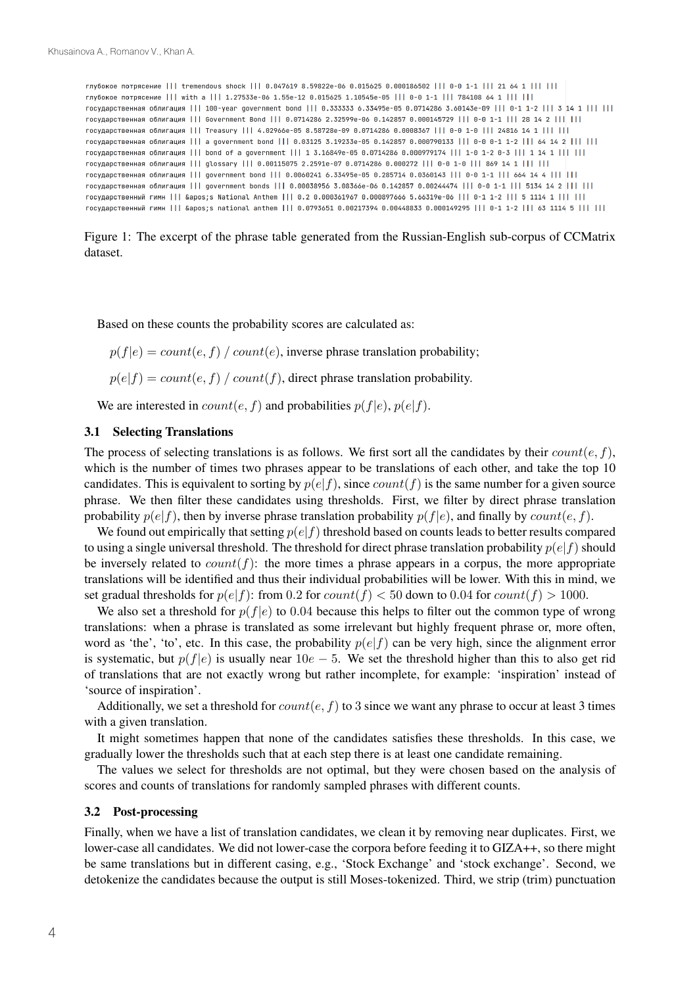| глубокое потрясение     tremendous shock     0.047619 8.59822e-06 0.015625 0.000186502     0-0 1-1     21 64 1               |
|------------------------------------------------------------------------------------------------------------------------------|
| глубокое потрясение     with a     1.27533e-06 1.55e-12 0.015625 1.10545e-05     0-0 1-1     784108 64 1                     |
| государственная облигация     100-year qovernment bond     0.333333 6.33495e-05 0.0714286 3.60143e-09     0-1 1-2     3 14 1 |
| государственная облигация     Government Bond     0.0714286 2.32599e-06 0.142857 0.000145729     0-0 1-1     28 14 2         |
| государственная облигация     Treasury     4.02966e-05 8.58728e-09 0.0714286 0.0008367     0-0 1-0     24816 14 1            |
| государственная облигация     а qovernment bond     0.03125 3.19233e-05 0.142857 0.000790133     0-0 0-1 1-2     64 14 2     |
| государственная облигация     bond of a qovernment     1 3.16849e-05 0.0714286 0.000979174     1-0 1-2 0-3     1 14 1        |
| государственная облигация     qlossary     0.00115075 2.2591e-07 0.0714286 0.000272     0-0 1-0     869 14 1                 |
| государственная облигация     qovernment bond     0.0060241 6.33495e-05 0.285714 0.0360143     0-0 1-1     664 14 4          |
| государственная облигация     qovernment bonds     0.00038956 3.08366e-06 0.142857 0.00244474     0-0 1-1     5134 14 2      |
| государственный гимн     's National Anthem     0.2 0.000361967 0.000897666 5.66319e-06     0-1 1-2     5 1114 1             |
| государственный гимн     's national anthem     0.0793651 0.00217394 0.00448833 0.000149295     0-1 1-2     63 1114 5        |

Figure 1: The excerpt of the phrase table generated from the Russian-English sub-corpus of CCMatrix dataset.

Based on these counts the probability scores are calculated as:

 $p(f|e) = count(e, f) / count(e)$ , inverse phrase translation probability;

 $p(e|f) = count(e, f) / count(f)$ , direct phrase translation probability.

We are interested in  $count(e, f)$  and probabilities  $p(f|e)$ ,  $p(e|f)$ .

### 3.1 Selecting Translations

The process of selecting translations is as follows. We first sort all the candidates by their  $count(e, f)$ , which is the number of times two phrases appear to be translations of each other, and take the top 10 candidates. This is equivalent to sorting by  $p(e|f)$ , since  $count(f)$  is the same number for a given source phrase. We then filter these candidates using thresholds. First, we filter by direct phrase translation probability  $p(e|f)$ , then by inverse phrase translation probability  $p(f|e)$ , and finally by  $count(e, f)$ .

We found out empirically that setting  $p(e|f)$  threshold based on counts leads to better results compared to using a single universal threshold. The threshold for direct phrase translation probability  $p(e|f)$  should be inversely related to  $count(f)$ : the more times a phrase appears in a corpus, the more appropriate translations will be identified and thus their individual probabilities will be lower. With this in mind, we set gradual thresholds for  $p(e|f)$ : from 0.2 for  $count(f) < 50$  down to 0.04 for  $count(f) > 1000$ .

We also set a threshold for  $p(f|e)$  to 0.04 because this helps to filter out the common type of wrong translations: when a phrase is translated as some irrelevant but highly frequent phrase or, more often, word as 'the', 'to', etc. In this case, the probability  $p(e|f)$  can be very high, since the alignment error is systematic, but  $p(f|e)$  is usually near 10e – 5. We set the threshold higher than this to also get rid of translations that are not exactly wrong but rather incomplete, for example: 'inspiration' instead of 'source of inspiration'.

Additionally, we set a threshold for  $count(e, f)$  to 3 since we want any phrase to occur at least 3 times with a given translation.

It might sometimes happen that none of the candidates satisfies these thresholds. In this case, we gradually lower the thresholds such that at each step there is at least one candidate remaining.

The values we select for thresholds are not optimal, but they were chosen based on the analysis of scores and counts of translations for randomly sampled phrases with different counts.

#### 3.2 Post-processing

Finally, when we have a list of translation candidates, we clean it by removing near duplicates. First, we lower-case all candidates. We did not lower-case the corpora before feeding it to GIZA++, so there might be same translations but in different casing, e.g., 'Stock Exchange' and 'stock exchange'. Second, we detokenize the candidates because the output is still Moses-tokenized. Third, we strip (trim) punctuation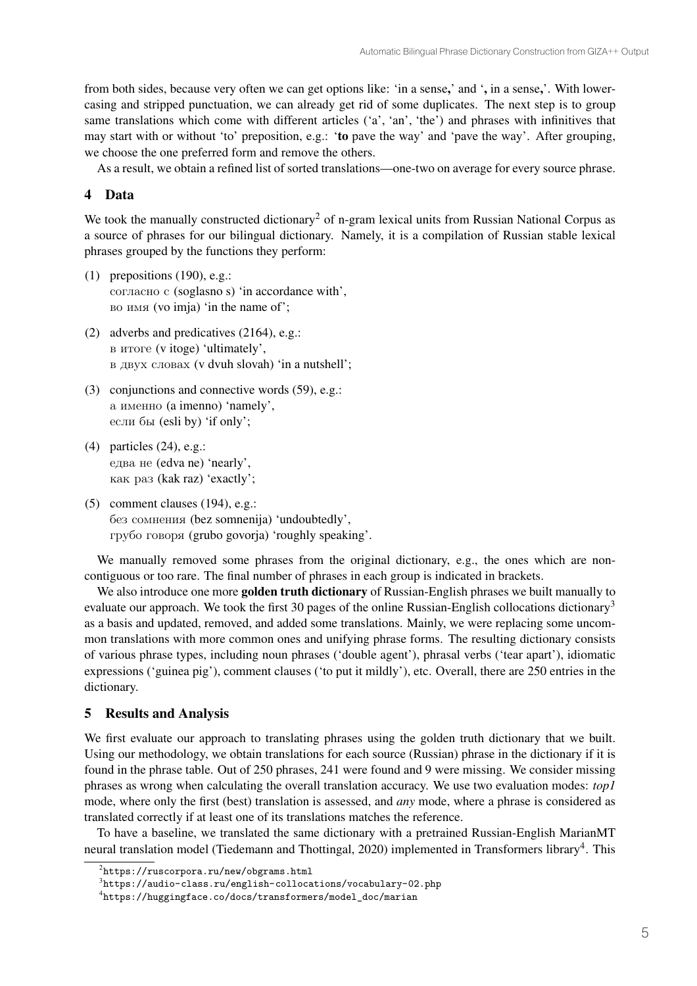from both sides, because very often we can get options like: 'in a sense,' and ', in a sense,'. With lowercasing and stripped punctuation, we can already get rid of some duplicates. The next step is to group same translations which come with different articles ('a', 'an', 'the') and phrases with infinitives that may start with or without 'to' preposition, e.g.: 'to pave the way' and 'pave the way'. After grouping, we choose the one preferred form and remove the others.

As a result, we obtain a refined list of sorted translations—one-two on average for every source phrase.

## 4 Data

We took the manually constructed dictionary<sup>2</sup> of n-gram lexical units from Russian National Corpus as a source of phrases for our bilingual dictionary. Namely, it is a compilation of Russian stable lexical phrases grouped by the functions they perform:

- (1) prepositions (190), e.g.: согласно с (soglasno s) 'in accordance with', во имя (vo imja) 'in the name of';
- (2) adverbs and predicatives (2164), e.g.: в итоге (v itoge) 'ultimately', в двух словах (v dvuh slovah) 'in a nutshell';
- (3) conjunctions and connective words (59), e.g.: а именно (a imenno) 'namely', если бы (esli by) 'if only';
- (4) particles (24), e.g.: едва не (edva ne) 'nearly', как раз (kak raz) 'exactly';
- (5) comment clauses (194), e.g.: без сомнения (bez somnenija) 'undoubtedly', грубо говоря (grubo govorja) 'roughly speaking'.

We manually removed some phrases from the original dictionary, e.g., the ones which are noncontiguous or too rare. The final number of phrases in each group is indicated in brackets.

We also introduce one more golden truth dictionary of Russian-English phrases we built manually to evaluate our approach. We took the first 30 pages of the online Russian-English collocations dictionary<sup>3</sup> as a basis and updated, removed, and added some translations. Mainly, we were replacing some uncommon translations with more common ones and unifying phrase forms. The resulting dictionary consists of various phrase types, including noun phrases ('double agent'), phrasal verbs ('tear apart'), idiomatic expressions ('guinea pig'), comment clauses ('to put it mildly'), etc. Overall, there are 250 entries in the dictionary.

## 5 Results and Analysis

We first evaluate our approach to translating phrases using the golden truth dictionary that we built. Using our methodology, we obtain translations for each source (Russian) phrase in the dictionary if it is found in the phrase table. Out of 250 phrases, 241 were found and 9 were missing. We consider missing phrases as wrong when calculating the overall translation accuracy. We use two evaluation modes: *top1* mode, where only the first (best) translation is assessed, and *any* mode, where a phrase is considered as translated correctly if at least one of its translations matches the reference.

To have a baseline, we translated the same dictionary with a pretrained Russian-English MarianMT neural translation model (Tiedemann and Thottingal, 2020) implemented in Transformers library<sup>4</sup>. This

 $^{2}$ https://ruscorpora.ru/new/obgrams.html

 $^3$ https://audio-class.ru/english-collocations/vocabulary-02.php

<sup>4</sup> https://huggingface.co/docs/transformers/model\_doc/marian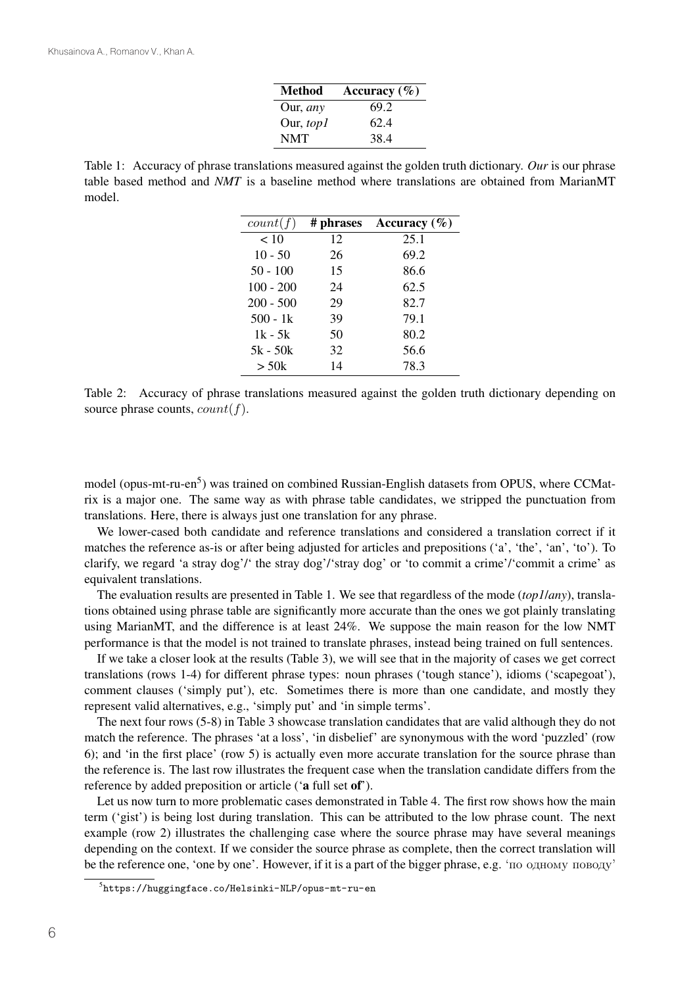| <b>Method</b>     | Accuracy $(\% )$ |
|-------------------|------------------|
| Our, any          | 69.2             |
| Our, <i>top</i> 1 | 62.4             |
| <b>NMT</b>        | 38.4             |

Table 1: Accuracy of phrase translations measured against the golden truth dictionary. *Our* is our phrase table based method and *NMT* is a baseline method where translations are obtained from MarianMT model.

| count(f)    | # phrases | Accuracy $(\% )$ |
|-------------|-----------|------------------|
| < 10        | 12        | 25.1             |
| $10 - 50$   | 26        | 69.2             |
| $50 - 100$  | 15        | 86.6             |
| $100 - 200$ | 24        | 62.5             |
| $200 - 500$ | 29        | 82.7             |
| $500 - 1k$  | 39        | 79.1             |
| 1k - 5k     | 50        | 80.2             |
| $5k - 50k$  | 32        | 56.6             |
| $>$ 50 $k$  | 14        | 78.3             |

Table 2: Accuracy of phrase translations measured against the golden truth dictionary depending on source phrase counts,  $count(f)$ .

model (opus-mt-ru-en<sup>5</sup>) was trained on combined Russian-English datasets from OPUS, where CCMatrix is a major one. The same way as with phrase table candidates, we stripped the punctuation from translations. Here, there is always just one translation for any phrase.

We lower-cased both candidate and reference translations and considered a translation correct if it matches the reference as-is or after being adjusted for articles and prepositions ('a', 'the', 'an', 'to'). To clarify, we regard 'a stray dog'/' the stray dog'/'stray dog' or 'to commit a crime'/'commit a crime' as equivalent translations.

The evaluation results are presented in Table 1. We see that regardless of the mode (*top1*/*any*), translations obtained using phrase table are significantly more accurate than the ones we got plainly translating using MarianMT, and the difference is at least 24%. We suppose the main reason for the low NMT performance is that the model is not trained to translate phrases, instead being trained on full sentences.

If we take a closer look at the results (Table 3), we will see that in the majority of cases we get correct translations (rows 1-4) for different phrase types: noun phrases ('tough stance'), idioms ('scapegoat'), comment clauses ('simply put'), etc. Sometimes there is more than one candidate, and mostly they represent valid alternatives, e.g., 'simply put' and 'in simple terms'.

The next four rows (5-8) in Table 3 showcase translation candidates that are valid although they do not match the reference. The phrases 'at a loss', 'in disbelief' are synonymous with the word 'puzzled' (row 6); and 'in the first place' (row 5) is actually even more accurate translation for the source phrase than the reference is. The last row illustrates the frequent case when the translation candidate differs from the reference by added preposition or article ('a full set of').

Let us now turn to more problematic cases demonstrated in Table 4. The first row shows how the main term ('gist') is being lost during translation. This can be attributed to the low phrase count. The next example (row 2) illustrates the challenging case where the source phrase may have several meanings depending on the context. If we consider the source phrase as complete, then the correct translation will be the reference one, 'one by one'. However, if it is a part of the bigger phrase, e.g. 'по одному поводу'

 $^5$ https://huggingface.co/Helsinki-NLP/opus-mt-ru-en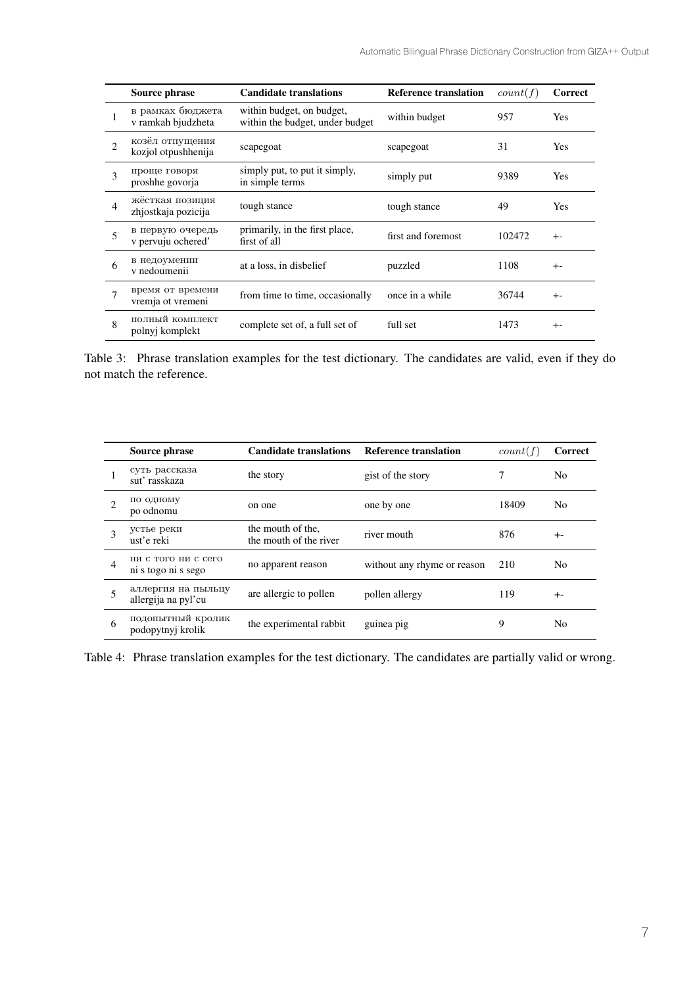|                | Source phrase                          | <b>Candidate translations</b>                                | <b>Reference translation</b> | count(f) | Correct    |
|----------------|----------------------------------------|--------------------------------------------------------------|------------------------------|----------|------------|
|                | в рамках бюджета<br>v ramkah bjudzheta | within budget, on budget,<br>within the budget, under budget | within budget                | 957      | Yes        |
| $\mathcal{D}$  | козёл отпущения<br>kozjol otpushhenija | scapegoat                                                    | scapegoat                    | 31       | <b>Yes</b> |
| 3              | проще говоря<br>proshhe govorja        | simply put, to put it simply,<br>in simple terms             | simply put                   | 9389     | <b>Yes</b> |
| $\overline{4}$ | жёсткая позиция<br>zhjostkaja pozicija | tough stance                                                 | tough stance                 | 49       | Yes        |
| 5              | в первую очередь<br>v pervuju ochered' | primarily, in the first place,<br>first of all               | first and foremost           | 102472   | $+ -$      |
| 6              | в недоумении<br>v nedoumenii           | at a loss, in disbelief                                      | puzzled                      | 1108     | $+ -$      |
| $\tau$         | время от времени<br>vremja ot vremeni  | from time to time, occasionally                              | once in a while              | 36744    | $+ -$      |
| 8              | полный комплект<br>polnyj komplekt     | complete set of, a full set of                               | full set                     | 1473     | $+ -$      |

Table 3: Phrase translation examples for the test dictionary. The candidates are valid, even if they do not match the reference.

|                | Source phrase                              | <b>Candidate translations</b>               | <b>Reference translation</b> | count(f) | Correct        |
|----------------|--------------------------------------------|---------------------------------------------|------------------------------|----------|----------------|
|                | суть рассказа<br>sut' rasskaza             | the story                                   | gist of the story            | 7        | No             |
| $\mathfrak{D}$ | по одному<br>po odnomu                     | on one                                      | one by one                   | 18409    | N <sub>0</sub> |
| 3              | устье реки<br>ust'e reki                   | the mouth of the.<br>the mouth of the river | river mouth                  | 876      | $+ -$          |
| $\overline{4}$ | ни с того ни с сего<br>ni s togo ni s sego | no apparent reason                          | without any rhyme or reason  | 210      | N <sub>0</sub> |
| 5              | аллергия на пыльцу<br>allergija na pyl'cu  | are allergic to pollen                      | pollen allergy               | 119      | $+ -$          |
| 6              | подопытный кролик<br>podopytnyj krolik     | the experimental rabbit                     | guinea pig                   | 9        | N <sub>0</sub> |

Table 4: Phrase translation examples for the test dictionary. The candidates are partially valid or wrong.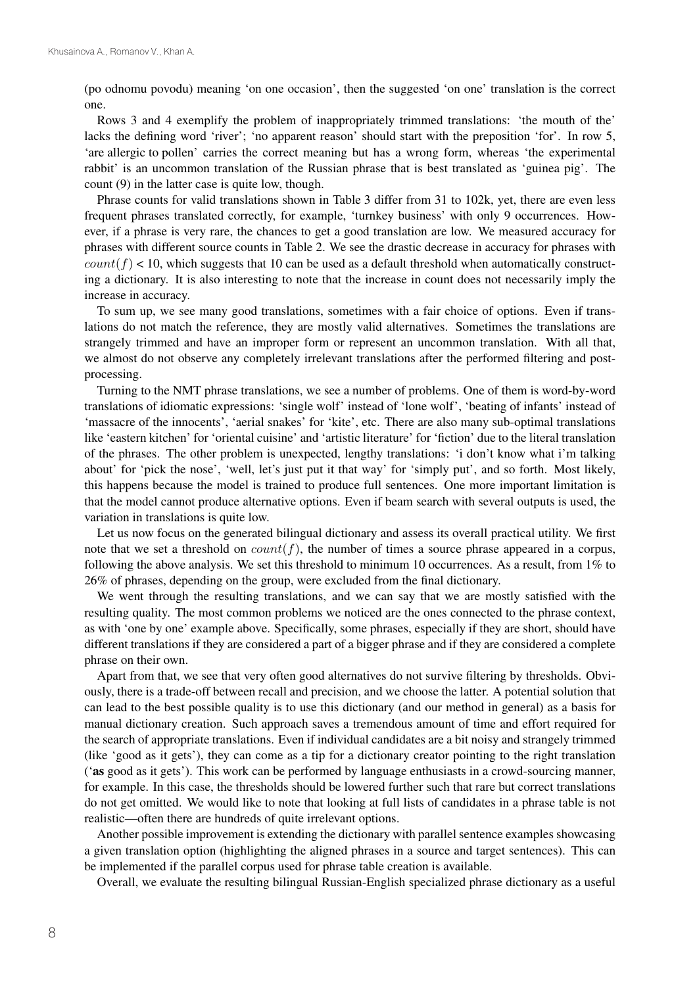(po odnomu povodu) meaning 'on one occasion', then the suggested 'on one' translation is the correct one.

Rows 3 and 4 exemplify the problem of inappropriately trimmed translations: 'the mouth of the' lacks the defining word 'river'; 'no apparent reason' should start with the preposition 'for'. In row 5, 'are allergic to pollen' carries the correct meaning but has a wrong form, whereas 'the experimental rabbit' is an uncommon translation of the Russian phrase that is best translated as 'guinea pig'. The count (9) in the latter case is quite low, though.

Phrase counts for valid translations shown in Table 3 differ from 31 to 102k, yet, there are even less frequent phrases translated correctly, for example, 'turnkey business' with only 9 occurrences. However, if a phrase is very rare, the chances to get a good translation are low. We measured accuracy for phrases with different source counts in Table 2. We see the drastic decrease in accuracy for phrases with  $count(f) < 10$ , which suggests that 10 can be used as a default threshold when automatically constructing a dictionary. It is also interesting to note that the increase in count does not necessarily imply the increase in accuracy.

To sum up, we see many good translations, sometimes with a fair choice of options. Even if translations do not match the reference, they are mostly valid alternatives. Sometimes the translations are strangely trimmed and have an improper form or represent an uncommon translation. With all that, we almost do not observe any completely irrelevant translations after the performed filtering and postprocessing.

Turning to the NMT phrase translations, we see a number of problems. One of them is word-by-word translations of idiomatic expressions: 'single wolf' instead of 'lone wolf', 'beating of infants' instead of 'massacre of the innocents', 'aerial snakes' for 'kite', etc. There are also many sub-optimal translations like 'eastern kitchen' for 'oriental cuisine' and 'artistic literature' for 'fiction' due to the literal translation of the phrases. The other problem is unexpected, lengthy translations: 'i don't know what i'm talking about' for 'pick the nose', 'well, let's just put it that way' for 'simply put', and so forth. Most likely, this happens because the model is trained to produce full sentences. One more important limitation is that the model cannot produce alternative options. Even if beam search with several outputs is used, the variation in translations is quite low.

Let us now focus on the generated bilingual dictionary and assess its overall practical utility. We first note that we set a threshold on  $count(f)$ , the number of times a source phrase appeared in a corpus, following the above analysis. We set this threshold to minimum 10 occurrences. As a result, from 1% to 26% of phrases, depending on the group, were excluded from the final dictionary.

We went through the resulting translations, and we can say that we are mostly satisfied with the resulting quality. The most common problems we noticed are the ones connected to the phrase context, as with 'one by one' example above. Specifically, some phrases, especially if they are short, should have different translations if they are considered a part of a bigger phrase and if they are considered a complete phrase on their own.

Apart from that, we see that very often good alternatives do not survive filtering by thresholds. Obviously, there is a trade-off between recall and precision, and we choose the latter. A potential solution that can lead to the best possible quality is to use this dictionary (and our method in general) as a basis for manual dictionary creation. Such approach saves a tremendous amount of time and effort required for the search of appropriate translations. Even if individual candidates are a bit noisy and strangely trimmed (like 'good as it gets'), they can come as a tip for a dictionary creator pointing to the right translation ('as good as it gets'). This work can be performed by language enthusiasts in a crowd-sourcing manner, for example. In this case, the thresholds should be lowered further such that rare but correct translations do not get omitted. We would like to note that looking at full lists of candidates in a phrase table is not realistic—often there are hundreds of quite irrelevant options.

Another possible improvement is extending the dictionary with parallel sentence examples showcasing a given translation option (highlighting the aligned phrases in a source and target sentences). This can be implemented if the parallel corpus used for phrase table creation is available.

Overall, we evaluate the resulting bilingual Russian-English specialized phrase dictionary as a useful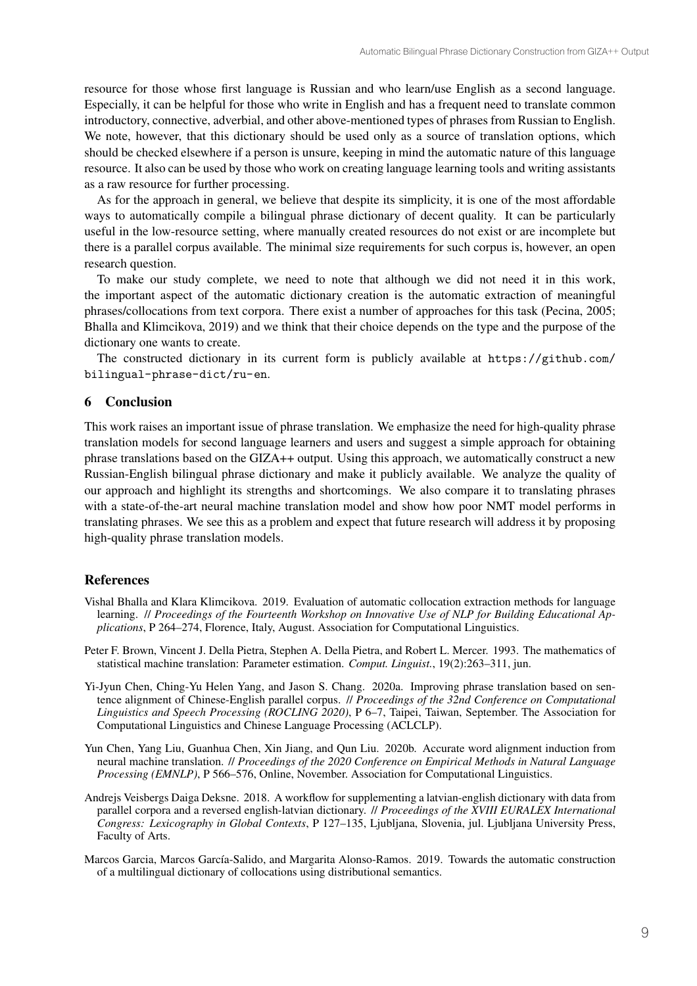resource for those whose first language is Russian and who learn/use English as a second language. Especially, it can be helpful for those who write in English and has a frequent need to translate common introductory, connective, adverbial, and other above-mentioned types of phrases from Russian to English. We note, however, that this dictionary should be used only as a source of translation options, which should be checked elsewhere if a person is unsure, keeping in mind the automatic nature of this language resource. It also can be used by those who work on creating language learning tools and writing assistants as a raw resource for further processing.

As for the approach in general, we believe that despite its simplicity, it is one of the most affordable ways to automatically compile a bilingual phrase dictionary of decent quality. It can be particularly useful in the low-resource setting, where manually created resources do not exist or are incomplete but there is a parallel corpus available. The minimal size requirements for such corpus is, however, an open research question.

To make our study complete, we need to note that although we did not need it in this work, the important aspect of the automatic dictionary creation is the automatic extraction of meaningful phrases/collocations from text corpora. There exist a number of approaches for this task (Pecina, 2005; Bhalla and Klimcikova, 2019) and we think that their choice depends on the type and the purpose of the dictionary one wants to create.

The constructed dictionary in its current form is publicly available at https://github.com/ bilingual-phrase-dict/ru-en.

## 6 Conclusion

This work raises an important issue of phrase translation. We emphasize the need for high-quality phrase translation models for second language learners and users and suggest a simple approach for obtaining phrase translations based on the GIZA++ output. Using this approach, we automatically construct a new Russian-English bilingual phrase dictionary and make it publicly available. We analyze the quality of our approach and highlight its strengths and shortcomings. We also compare it to translating phrases with a state-of-the-art neural machine translation model and show how poor NMT model performs in translating phrases. We see this as a problem and expect that future research will address it by proposing high-quality phrase translation models.

#### References

- Vishal Bhalla and Klara Klimcikova. 2019. Evaluation of automatic collocation extraction methods for language learning. // *Proceedings of the Fourteenth Workshop on Innovative Use of NLP for Building Educational Applications*, P 264–274, Florence, Italy, August. Association for Computational Linguistics.
- Peter F. Brown, Vincent J. Della Pietra, Stephen A. Della Pietra, and Robert L. Mercer. 1993. The mathematics of statistical machine translation: Parameter estimation. *Comput. Linguist.*, 19(2):263–311, jun.
- Yi-Jyun Chen, Ching-Yu Helen Yang, and Jason S. Chang. 2020a. Improving phrase translation based on sentence alignment of Chinese-English parallel corpus. // *Proceedings of the 32nd Conference on Computational Linguistics and Speech Processing (ROCLING 2020)*, P 6–7, Taipei, Taiwan, September. The Association for Computational Linguistics and Chinese Language Processing (ACLCLP).
- Yun Chen, Yang Liu, Guanhua Chen, Xin Jiang, and Qun Liu. 2020b. Accurate word alignment induction from neural machine translation. // *Proceedings of the 2020 Conference on Empirical Methods in Natural Language Processing (EMNLP)*, P 566–576, Online, November. Association for Computational Linguistics.
- Andrejs Veisbergs Daiga Deksne. 2018. A workflow for supplementing a latvian-english dictionary with data from parallel corpora and a reversed english-latvian dictionary. // *Proceedings of the XVIII EURALEX International Congress: Lexicography in Global Contexts*, P 127–135, Ljubljana, Slovenia, jul. Ljubljana University Press, Faculty of Arts.
- Marcos Garcia, Marcos García-Salido, and Margarita Alonso-Ramos. 2019. Towards the automatic construction of a multilingual dictionary of collocations using distributional semantics.